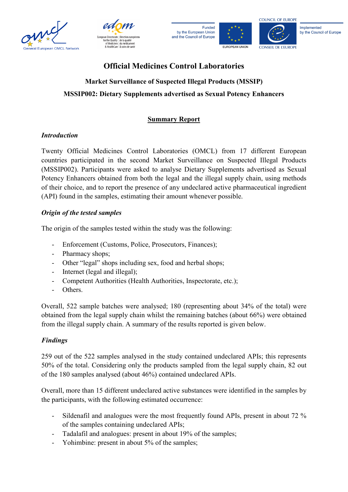





#### Implemented by the Council of Europe

# **Official Medicines Control Laboratories Market Surveillance of Suspected Illegal Products (MSSIP) MSSIP002: Dietary Supplements advertised as Sexual Potency Enhancers**

## **Summary Report**

### *Introduction*

Twenty Official Medicines Control Laboratories (OMCL) from 17 different European countries participated in the second Market Surveillance on Suspected Illegal Products (MSSIP002). Participants were asked to analyse Dietary Supplements advertised as Sexual Potency Enhancers obtained from both the legal and the illegal supply chain, using methods of their choice, and to report the presence of any undeclared active pharmaceutical ingredient (API) found in the samples, estimating their amount whenever possible.

### *Origin of the tested samples*

The origin of the samples tested within the study was the following:

- Enforcement (Customs, Police, Prosecutors, Finances);
- Pharmacy shops;
- Other "legal" shops including sex, food and herbal shops;
- Internet (legal and illegal);
- Competent Authorities (Health Authorities, Inspectorate, etc.);
- Others.

Overall, 522 sample batches were analysed; 180 (representing about 34% of the total) were obtained from the legal supply chain whilst the remaining batches (about 66%) were obtained from the illegal supply chain. A summary of the results reported is given below.

#### *Findings*

259 out of the 522 samples analysed in the study contained undeclared APIs; this represents 50% of the total. Considering only the products sampled from the legal supply chain, 82 out of the 180 samples analysed (about 46%) contained undeclared APIs.

Overall, more than 15 different undeclared active substances were identified in the samples by the participants, with the following estimated occurrence:

- Sildenafil and analogues were the most frequently found APIs, present in about 72 % of the samples containing undeclared APIs;
- Tadalafil and analogues: present in about 19% of the samples;
- Yohimbine: present in about 5% of the samples;